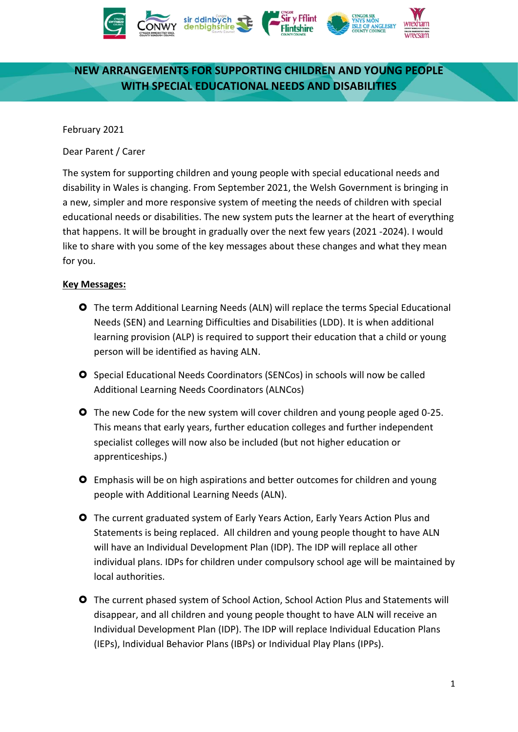

# **NEW ARRANGEMENTS FOR SUPPORTING CHILDREN AND YOUNG PEOPLE WITH SPECIAL EDUCATIONAL NEEDS AND DISABILITIES**

February 2021

Dear Parent / Carer

The system for supporting children and young people with special educational needs and disability in Wales is changing. From September 2021, the Welsh Government is bringing in a new, simpler and more responsive system of meeting the needs of children with special educational needs or disabilities. The new system puts the learner at the heart of everything that happens. It will be brought in gradually over the next few years (2021 -2024). I would like to share with you some of the key messages about these changes and what they mean for you.

#### **Key Messages:**

- The term Additional Learning Needs (ALN) will replace the terms Special Educational Needs (SEN) and Learning Difficulties and Disabilities (LDD). It is when additional learning provision (ALP) is required to support their education that a child or young person will be identified as having ALN.
- **O** Special Educational Needs Coordinators (SENCos) in schools will now be called Additional Learning Needs Coordinators (ALNCos)
- **O** The new Code for the new system will cover children and young people aged 0-25. This means that early years, further education colleges and further independent specialist colleges will now also be included (but not higher education or apprenticeships.)
- Emphasis will be on high aspirations and better outcomes for children and young people with Additional Learning Needs (ALN).
- The current graduated system of Early Years Action, Early Years Action Plus and Statements is being replaced. All children and young people thought to have ALN will have an Individual Development Plan (IDP). The IDP will replace all other individual plans. IDPs for children under compulsory school age will be maintained by local authorities.
- The current phased system of School Action, School Action Plus and Statements will disappear, and all children and young people thought to have ALN will receive an Individual Development Plan (IDP). The IDP will replace Individual Education Plans (IEPs), Individual Behavior Plans (IBPs) or Individual Play Plans (IPPs).